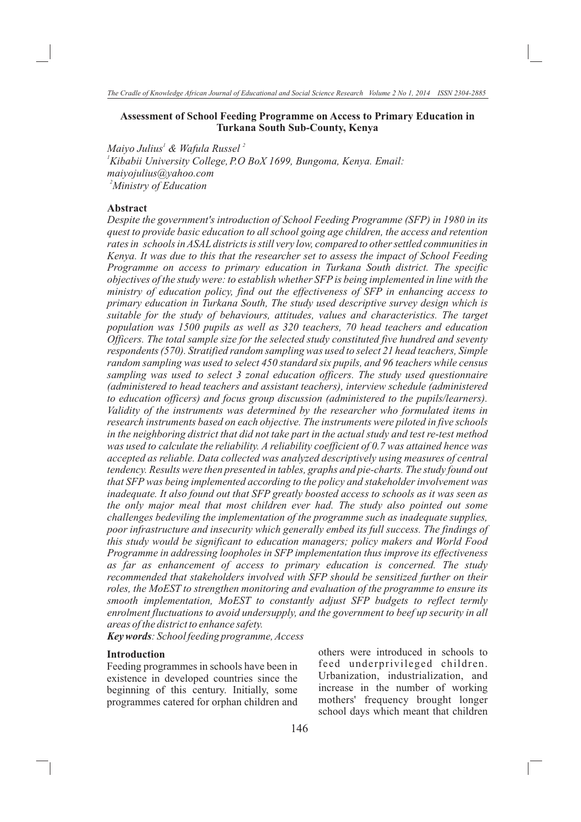# **Assessment of School Feeding Programme on Access to Primary Education in Turkana South Sub-County, Kenya**

*Maiyo Julius' & Wafula Russel*<sup>2</sup> *<sup>1</sup>Kibabii University College,P.O BoX 1699, Bungoma, Kenya. Email: maiyojulius@yahoo.com 2 Ministry of Education*

# **Abstract**

*Despite the government's introduction of School Feeding Programme (SFP) in 1980 in its quest to provide basic education to all school going age children, the access and retention rates in schools in ASAL districts is still very low, compared to other settled communities in Kenya. It was due to this that the researcher set to assess the impact of School Feeding Programme on access to primary education in Turkana South district. The specific objectives of the study were: to establish whether SFP is being implemented in line with the ministry of education policy, find out the effectiveness of SFP in enhancing access to primary education in Turkana South, The study used descriptive survey design which is suitable for the study of behaviours, attitudes, values and characteristics. The target population was 1500 pupils as well as 320 teachers, 70 head teachers and education Officers. The total sample size for the selected study constituted five hundred and seventy respondents (570). Stratified random sampling was used to select 21 head teachers, Simple random sampling was used to select 450 standard six pupils, and 96 teachers while census sampling was used to select 3 zonal education officers. The study used questionnaire (administered to head teachers and assistant teachers), interview schedule (administered to education officers) and focus group discussion (administered to the pupils/learners).*  Validity of the instruments was determined by the researcher who formulated items in *research instruments based on each objective. The instruments were piloted in five schools in the neighboring district that did not take part in the actual study and test re-test method was used to calculate the reliability. A reliability coefficient of 0.7 was attained hence was accepted as reliable. Data collected was analyzed descriptively using measures of central tendency. Results were then presented in tables, graphs and pie-charts. The study found out that SFP was being implemented according to the policy and stakeholder involvement was inadequate. It also found out that SFP greatly boosted access to schools as it was seen as the only major meal that most children ever had. The study also pointed out some challenges bedeviling the implementation of the programme such as inadequate supplies, poor infrastructure and insecurity which generally embed its full success. The findings of this study would be significant to education managers; policy makers and World Food Programme in addressing loopholes in SFP implementation thus improve its effectiveness as far as enhancement of access to primary education is concerned. The study recommended that stakeholders involved with SFP should be sensitized further on their roles, the MoEST to strengthen monitoring and evaluation of the programme to ensure its smooth implementation, MoEST to constantly adjust SFP budgets to reflect termly enrolment fluctuations to avoid undersupply, and the government to beef up security in all areas of the district to enhance safety.* 

*Key words: School feeding programme, Access*

## **Introduction**

Feeding programmes in schools have been in existence in developed countries since the beginning of this century. Initially, some programmes catered for orphan children and others were introduced in schools to feed underprivileged children. Urbanization, industrialization, and increase in the number of working mothers' frequency brought longer school days which meant that children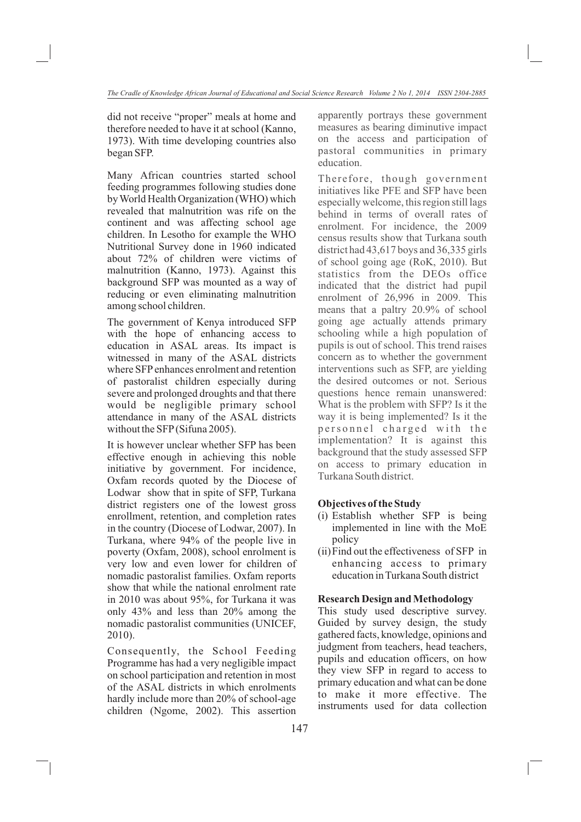did not receive "proper" meals at home and therefore needed to have it at school (Kanno, 1973). With time developing countries also began SFP.

Many African countries started school feeding programmes following studies done by World Health Organization (WHO) which revealed that malnutrition was rife on the continent and was affecting school age children. In Lesotho for example the WHO Nutritional Survey done in 1960 indicated about 72% of children were victims of malnutrition (Kanno, 1973). Against this background SFP was mounted as a way of reducing or even eliminating malnutrition among school children.

The government of Kenya introduced SFP with the hope of enhancing access to education in ASAL areas. Its impact is witnessed in many of the ASAL districts where SFP enhances enrolment and retention of pastoralist children especially during severe and prolonged droughts and that there would be negligible primary school attendance in many of the ASAL districts without the SFP (Sifuna 2005).

It is however unclear whether SFP has been effective enough in achieving this noble initiative by government. For incidence, Oxfam records quoted by the Diocese of Lodwar show that in spite of SFP, Turkana district registers one of the lowest gross enrollment, retention, and completion rates in the country (Diocese of Lodwar, 2007). In Turkana, where 94% of the people live in poverty (Oxfam, 2008), school enrolment is very low and even lower for children of nomadic pastoralist families. Oxfam reports show that while the national enrolment rate in 2010 was about 95%, for Turkana it was only 43% and less than 20% among the nomadic pastoralist communities (UNICEF, 2010).

Consequently, the School Feeding Programme has had a very negligible impact on school participation and retention in most of the ASAL districts in which enrolments hardly include more than 20% of school-age children (Ngome, 2002). This assertion apparently portrays these government measures as bearing diminutive impact on the access and participation of pastoral communities in primary education.

Therefore, though government initiatives like PFE and SFP have been especially welcome, this region still lags behind in terms of overall rates of enrolment. For incidence, the 2009 census results show that Turkana south district had 43,617 boys and 36,335 girls of school going age (RoK, 2010). But statistics from the DEOs office indicated that the district had pupil enrolment of 26,996 in 2009. This means that a paltry 20.9% of school going age actually attends primary schooling while a high population of pupils is out of school. This trend raises concern as to whether the government interventions such as SFP, are yielding the desired outcomes or not. Serious questions hence remain unanswered: What is the problem with SFP? Is it the way it is being implemented? Is it the personnel charged with the implementation? It is against this background that the study assessed SFP on access to primary education in Turkana South district.

# **Objectives of the Study**

- (i) Establish whether SFP is being implemented in line with the MoE policy
- (ii)Find out the effectiveness of SFP in enhancing access to primary education in Turkana South district

#### **Research Design and Methodology**

This study used descriptive survey. Guided by survey design, the study gathered facts, knowledge, opinions and judgment from teachers, head teachers, pupils and education officers, on how they view SFP in regard to access to primary education and what can be done to make it more effective. The instruments used for data collection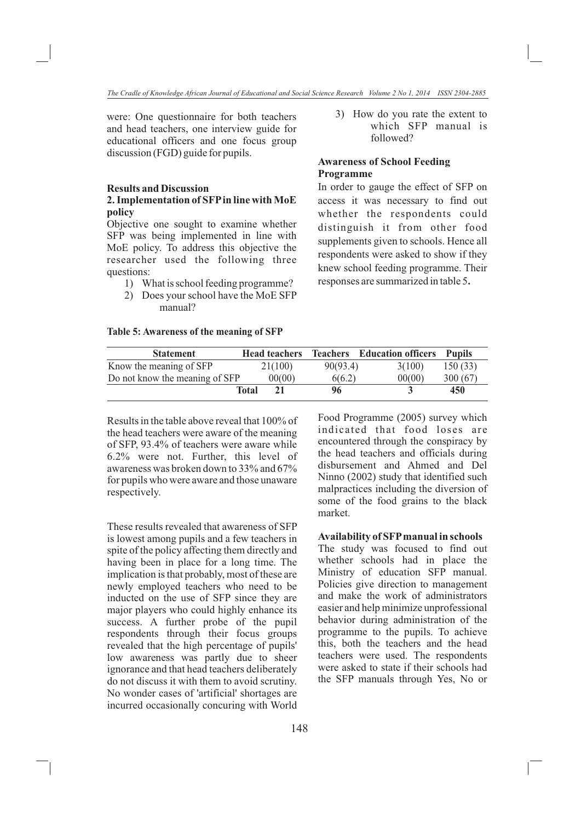were: One questionnaire for both teachers and head teachers, one interview guide for educational officers and one focus group discussion (FGD) guide for pupils.

#### **Results and Discussion**

# **2. Implementation of SFP in line with MoE policy**

Objective one sought to examine whether SFP was being implemented in line with MoE policy. To address this objective the researcher used the following three questions:

- 1) What is school feeding programme?
- 2) Does your school have the MoE SFP manual?

#### **Table 5: Awareness of the meaning of SFP**

## 3) How do you rate the extent to which SFP manual is followed?

# **Awareness of School Feeding Programme**

In order to gauge the effect of SFP on access it was necessary to find out whether the respondents could distinguish it from other food supplements given to schools. Hence all respondents were asked to show if they knew school feeding programme. Their responses are summarized in table 5**.**

| <b>Statement</b>               |              | <b>Head teachers</b> |          | <b>Teachers</b> Education officers | <b>Pupils</b> |
|--------------------------------|--------------|----------------------|----------|------------------------------------|---------------|
| Know the meaning of SFP        |              | 21(100)              | 90(93.4) | 3(100)                             | 150(33)       |
| Do not know the meaning of SFP |              | 00(00)               | 6(6.2)   | 00(00)                             | 300 (67)      |
|                                | <b>Total</b> | 21                   | 96       |                                    | 450           |
|                                |              |                      |          |                                    |               |

Results in the table above reveal that 100% of the head teachers were aware of the meaning of SFP, 93.4% of teachers were aware while 6.2% were not. Further, this level of awareness was broken down to 33% and 67% for pupils who were aware and those unaware respectively.

These results revealed that awareness of SFP is lowest among pupils and a few teachers in spite of the policy affecting them directly and having been in place for a long time. The implication is that probably, most of these are newly employed teachers who need to be inducted on the use of SFP since they are major players who could highly enhance its success. A further probe of the pupil respondents through their focus groups revealed that the high percentage of pupils' low awareness was partly due to sheer ignorance and that head teachers deliberately do not discuss it with them to avoid scrutiny. No wonder cases of 'artificial' shortages are incurred occasionally concuring with World Food Programme (2005) survey which indicated that food loses are encountered through the conspiracy by the head teachers and officials during disbursement and Ahmed and Del Ninno (2002) study that identified such malpractices including the diversion of some of the food grains to the black market.

#### **Availability of SFP manual in schools**

The study was focused to find out whether schools had in place the Ministry of education SFP manual. Policies give direction to management and make the work of administrators easier and help minimize unprofessional behavior during administration of the programme to the pupils. To achieve this, both the teachers and the head teachers were used. The respondents were asked to state if their schools had the SFP manuals through Yes, No or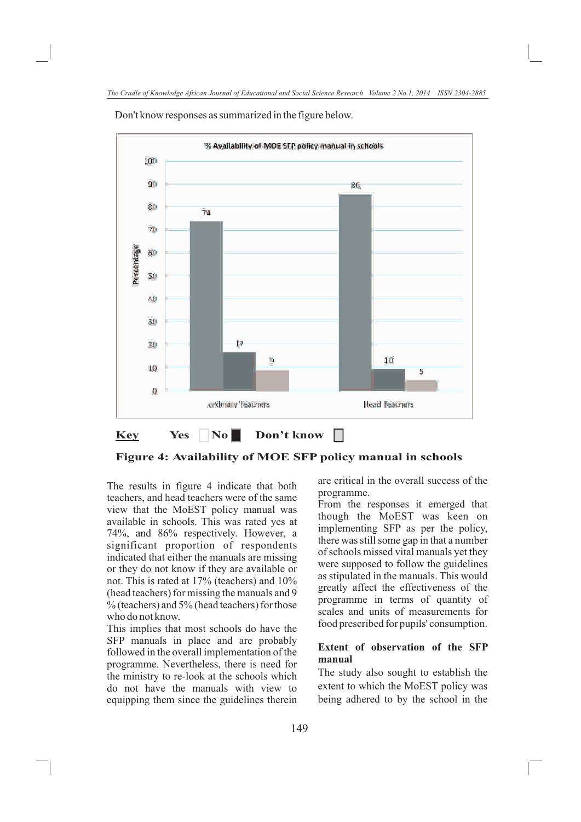

Don't know responses as summarized in the figure below.

**Figure 4: Availability of MOE SFP policy manual in schools**

The results in figure 4 indicate that both teachers, and head teachers were of the same view that the MoEST policy manual was available in schools. This was rated yes at 74%, and 86% respectively. However, a significant proportion of respondents indicated that either the manuals are missing or they do not know if they are available or not. This is rated at 17% (teachers) and 10% (head teachers) for missing the manuals and 9  $\%$  (teachers) and 5% (head teachers) for those who do not know.

This implies that most schools do have the SFP manuals in place and are probably followed in the overall implementation of the programme. Nevertheless, there is need for the ministry to re-look at the schools which do not have the manuals with view to equipping them since the guidelines therein are critical in the overall success of the programme.

From the responses it emerged that though the MoEST was keen on implementing SFP as per the policy, there was still some gap in that a number of schools missed vital manuals yet they were supposed to follow the guidelines as stipulated in the manuals. This would greatly affect the effectiveness of the programme in terms of quantity of scales and units of measurements for food prescribed for pupils' consumption.

# **Extent of observation of the SFP manual**

The study also sought to establish the extent to which the MoEST policy was being adhered to by the school in the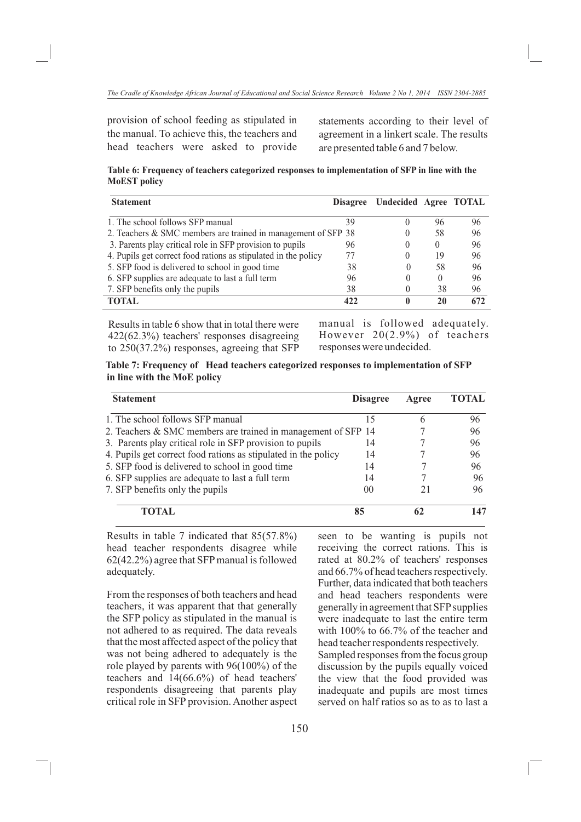provision of school feeding as stipulated in the manual. To achieve this, the teachers and head teachers were asked to provide statements according to their level of agreement in a linkert scale. The results are presented table 6 and 7 below.

**Table 6: Frequency of teachers categorized responses to implementation of SFP in line with the MoEST policy**

| <b>Statement</b>                                               | <b>Disagree</b> | Undecided Agree TOTAL |          |     |
|----------------------------------------------------------------|-----------------|-----------------------|----------|-----|
| 1. The school follows SFP manual                               | 39              | $\theta$              | 96       | 96  |
| 2. Teachers & SMC members are trained in management of SFP 38  |                 | $\theta$              | 58       | 96  |
| 3. Parents play critical role in SFP provision to pupils       | 96              | $\theta$              | $\theta$ | 96  |
| 4. Pupils get correct food rations as stipulated in the policy |                 | $\theta$              | 19       | 96  |
| 5. SFP food is delivered to school in good time                | 38              |                       | 58       | 96  |
| 6. SFP supplies are adequate to last a full term               | 96              | $\theta$              | $\theta$ | 96  |
| 7. SFP benefits only the pupils                                | 38              |                       | 38       | 96  |
| <b>TOTAL</b>                                                   | 422             | 0                     | 20       | 672 |
|                                                                |                 |                       |          |     |

Results in table 6 show that in total there were 422(62.3%) teachers' responses disagreeing to 250(37.2%) responses, agreeing that SFP

manual is followed adequately. However 20(2.9%) of teachers responses were undecided.

**Table 7: Frequency of Head teachers categorized responses to implementation of SFP in line with the MoE policy**

| <b>Statement</b>                                               | <b>Disagree</b> | Agree | <b>TOTAL</b> |  |
|----------------------------------------------------------------|-----------------|-------|--------------|--|
| 1. The school follows SFP manual                               | 15              | 6     | 96           |  |
| 2. Teachers & SMC members are trained in management of SFP 14  |                 | 96    |              |  |
| 3. Parents play critical role in SFP provision to pupils       | 14              |       | 96           |  |
| 4. Pupils get correct food rations as stipulated in the policy | 14              |       | 96           |  |
| 5. SFP food is delivered to school in good time                | 14              |       | 96           |  |
| 6. SFP supplies are adequate to last a full term               | 14              |       | 96           |  |
| 7. SFP benefits only the pupils                                | 00              | 21    | 96           |  |
| <b>TOTAL</b>                                                   | 85              |       | 147          |  |

 Results in table 7 indicated that 85(57.8%) head teacher respondents disagree while 62(42.2%) agree that SFP manual is followed adequately.

From the responses of both teachers and head teachers, it was apparent that that generally the SFP policy as stipulated in the manual is not adhered to as required. The data reveals that the most affected aspect of the policy that was not being adhered to adequately is the role played by parents with 96(100%) of the teachers and 14(66.6%) of head teachers' respondents disagreeing that parents play critical role in SFP provision. Another aspect seen to be wanting is pupils not receiving the correct rations. This is rated at 80.2% of teachers' responses and 66.7% of head teachers respectively. Further, data indicated that both teachers and head teachers respondents were generally in agreement that SFP supplies were inadequate to last the entire term with 100% to 66.7% of the teacher and head teacher respondents respectively. Sampled responses from the focus group discussion by the pupils equally voiced the view that the food provided was

inadequate and pupils are most times served on half ratios so as to as to last a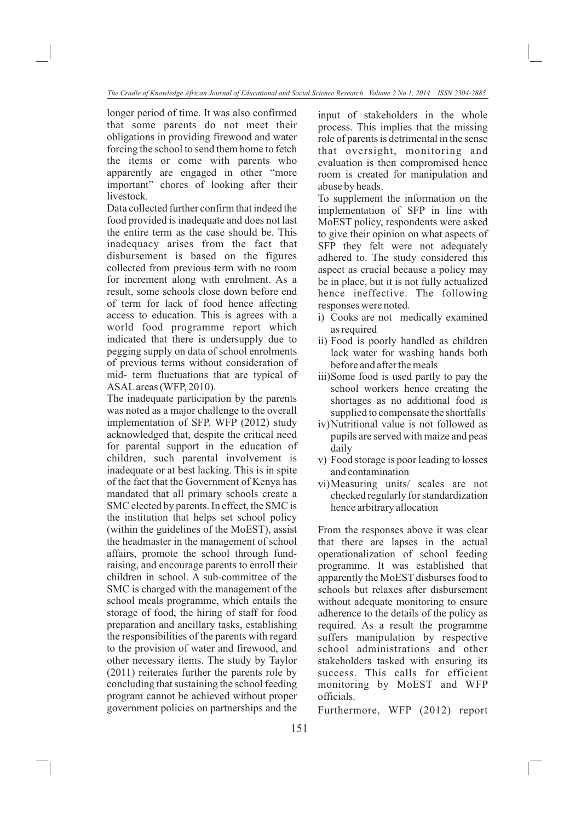longer period of time. It was also confirmed that some parents do not meet their obligations in providing firewood and water forcing the school to send them home to fetch the items or come with parents who apparently are engaged in other "more important" chores of looking after their livestock.

Data collected further confirm that indeed the food provided is inadequate and does not last the entire term as the case should be. This inadequacy arises from the fact that disbursement is based on the figures collected from previous term with no room for increment along with enrolment. As a result, some schools close down before end of term for lack of food hence affecting access to education. This is agrees with a world food programme report which indicated that there is undersupply due to pegging supply on data of school enrolments of previous terms without consideration of mid- term fluctuations that are typical of ASAL areas (WFP, 2010).

The inadequate participation by the parents was noted as a major challenge to the overall implementation of SFP. WFP (2012) study acknowledged that, despite the critical need for parental support in the education of children, such parental involvement is inadequate or at best lacking. This is in spite of the fact that the Government of Kenya has mandated that all primary schools create a SMC elected by parents. In effect, the SMC is the institution that helps set school policy (within the guidelines of the MoEST), assist the headmaster in the management of school affairs, promote the school through fundraising, and encourage parents to enroll their children in school. A sub-committee of the SMC is charged with the management of the school meals programme, which entails the storage of food, the hiring of staff for food preparation and ancillary tasks, establishing the responsibilities of the parents with regard to the provision of water and firewood, and other necessary items. The study by Taylor (2011) reiterates further the parents role by concluding that sustaining the school feeding program cannot be achieved without proper government policies on partnerships and the input of stakeholders in the whole process. This implies that the missing role of parents is detrimental in the sense that oversight, monitoring and evaluation is then compromised hence room is created for manipulation and abuse by heads.

To supplement the information on the implementation of SFP in line with MoEST policy, respondents were asked to give their opinion on what aspects of SFP they felt were not adequately adhered to. The study considered this aspect as crucial because a policy may be in place, but it is not fully actualized hence ineffective. The following responses were noted.

- i) Cooks are not medically examined as required
- ii) Food is poorly handled as children lack water for washing hands both before and after the meals
- iii)Some food is used partly to pay the school workers hence creating the shortages as no additional food is supplied to compensate the shortfalls
- iv)Nutritional value is not followed as pupils are served with maize and peas daily
- v) Food storage is poor leading to losses and contamination
- vi)Measuring units/ scales are not checked regularly for standardization hence arbitrary allocation

From the responses above it was clear that there are lapses in the actual operationalization of school feeding programme. It was established that apparently the MoEST disburses food to schools but relaxes after disbursement without adequate monitoring to ensure adherence to the details of the policy as required. As a result the programme suffers manipulation by respective school administrations and other stakeholders tasked with ensuring its success. This calls for efficient monitoring by MoEST and WFP officials.

Furthermore, WFP (2012) report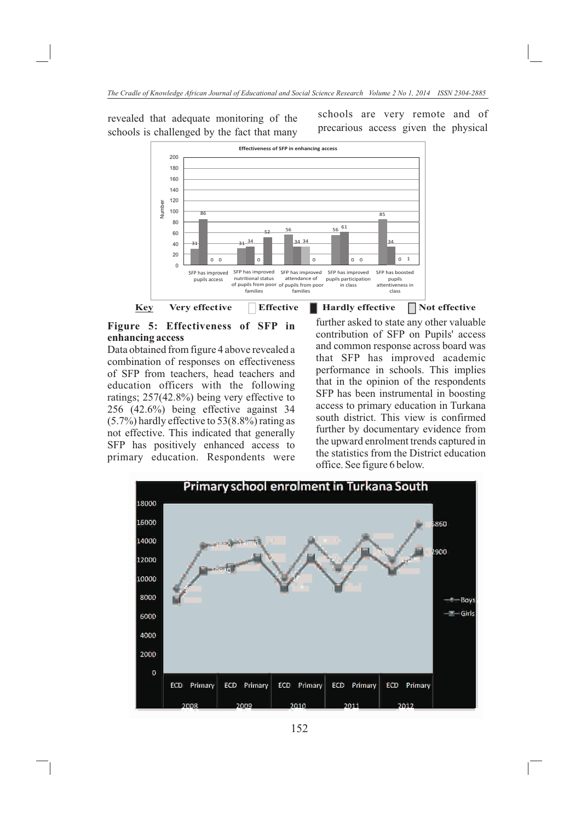revealed that adequate monitoring of the schools is challenged by the fact that many

Number

34 85  $\frac{1}{56}$  61 34 34 56 21 34 86 **Effectiveness of SFP in enhancing access** 52



**Figure 5: Effectiveness of SFP in enhancing access**

Data obtained from figure 4 above revealed a combination of responses on effectiveness of SFP from teachers, head teachers and education officers with the following ratings; 257(42.8%) being very effective to 256 (42.6%) being effective against 34 (5.7%) hardly effective to 53(8.8%) rating as not effective. This indicated that generally SFP has positively enhanced access to primary education. Respondents were

**Effective Hardly effective** ardly effective **Not** effective further asked to state any other valuable contribution of SFP on Pupils' access and common response across board was that SFP has improved academic performance in schools. This implies that in the opinion of the respondents SFP has been instrumental in boosting access to primary education in Turkana south district. This view is confirmed further by documentary evidence from the upward enrolment trends captured in the statistics from the District education office. See figure 6 below.

schools are very remote and of precarious access given the physical

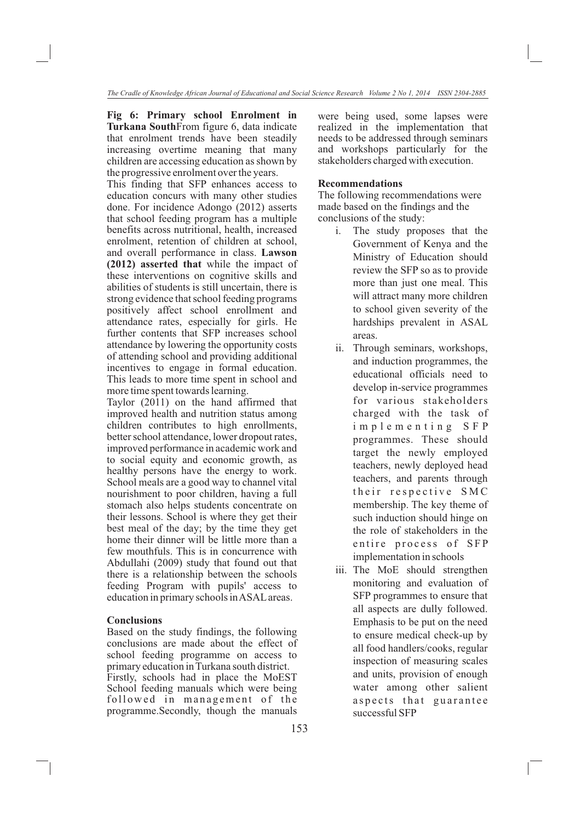**Fig 6: Primary school Enrolment in Turkana South**From figure 6, data indicate that enrolment trends have been steadily increasing overtime meaning that many children are accessing education as shown by the progressive enrolment over the years.

This finding that SFP enhances access to education concurs with many other studies done. For incidence Adongo (2012) asserts that school feeding program has a multiple benefits across nutritional, health, increased enrolment, retention of children at school, and overall performance in class. **Lawson (2012) asserted that** while the impact of these interventions on cognitive skills and abilities of students is still uncertain, there is strong evidence that school feeding programs positively affect school enrollment and attendance rates, especially for girls. He further contents that SFP increases school attendance by lowering the opportunity costs of attending school and providing additional incentives to engage in formal education. This leads to more time spent in school and more time spent towards learning.

Taylor (2011) on the hand affirmed that improved health and nutrition status among children contributes to high enrollments, better school attendance, lower dropout rates, improved performance in academic work and to social equity and economic growth, as healthy persons have the energy to work. School meals are a good way to channel vital nourishment to poor children, having a full stomach also helps students concentrate on their lessons. School is where they get their best meal of the day; by the time they get home their dinner will be little more than a few mouthfuls. This is in concurrence with Abdullahi (2009) study that found out that there is a relationship between the schools feeding Program with pupils' access to education in primary schools in ASAL areas.

# **Conclusions**

Based on the study findings, the following conclusions are made about the effect of school feeding programme on access to primary education in Turkana south district. Firstly, schools had in place the MoEST School feeding manuals which were being followed in management of the programme.Secondly, though the manuals were being used, some lapses were realized in the implementation that needs to be addressed through seminars and workshops particularly for the stakeholders charged with execution.

# **Recommendations**

The following recommendations were made based on the findings and the conclusions of the study:

- i. The study proposes that the Government of Kenya and the Ministry of Education should review the SFP so as to provide more than just one meal. This will attract many more children to school given severity of the hardships prevalent in ASAL areas.
- ii. Through seminars, workshops, and induction programmes, the educational officials need to develop in-service programmes for various stakeholders charged with the task of i m p l e m e n t i n g S F P programmes. These should target the newly employed teachers, newly deployed head teachers, and parents through their respective SMC membership. The key theme of such induction should hinge on the role of stakeholders in the entire process of SFP implementation in schools
- iii. The MoE should strengthen monitoring and evaluation of SFP programmes to ensure that all aspects are dully followed. Emphasis to be put on the need to ensure medical check-up by all food handlers/cooks, regular inspection of measuring scales and units, provision of enough water among other salient a spects that guarantee successful SFP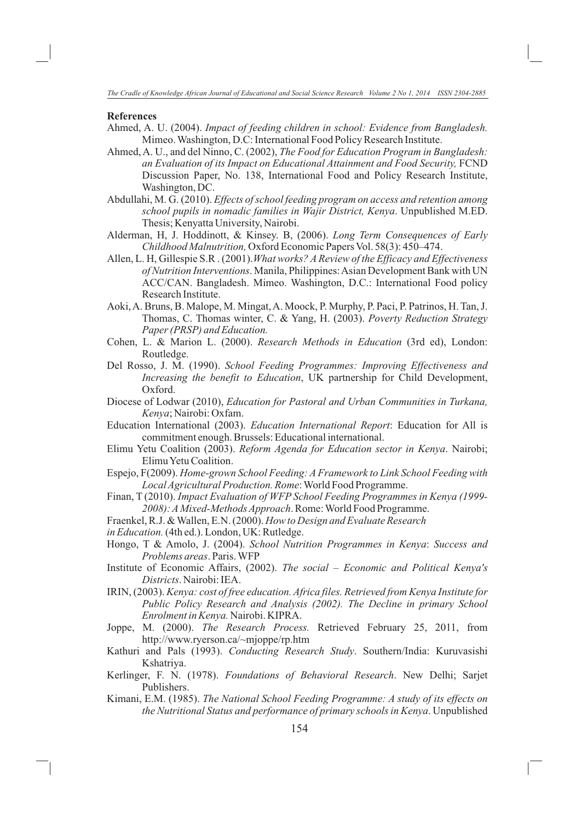#### **References**

- Ahmed, A. U. (2004). *Impact of feeding children in school: Evidence from Bangladesh.*  Mimeo. Washington, D.C: International Food Policy Research Institute.
- Ahmed, A. U., and del Ninno, C. (2002), *The Food for Education Program in Bangladesh: an Evaluation of its Impact on Educational Attainment and Food Security,* FCND Discussion Paper, No. 138, International Food and Policy Research Institute, Washington, DC.
- Abdullahi, M. G. (2010). *Effects of school feeding program on access and retention among school pupils in nomadic families in Wajir District, Kenya*. Unpublished M.ED. Thesis; Kenyatta University, Nairobi.
- Alderman, H, J. Hoddinott, & Kinsey. B, (2006). *Long Term Consequences of Early Childhood Malnutrition,* Oxford Economic Papers Vol. 58(3): 450–474.
- Allen, L. H, Gillespie S.R . (2001).*What works? A Review of the Efficacy and Effectiveness of Nutrition Interventions*. Manila, Philippines: Asian Development Bank with UN ACC/CAN. Bangladesh. Mimeo. Washington, D.C.: International Food policy Research Institute.
- Aoki, A. Bruns, B. Malope, M. Mingat, A. Moock, P. Murphy, P. Paci, P. Patrinos, H. Tan, J. Thomas, C. Thomas winter, C. & Yang, H. (2003). *Poverty Reduction Strategy Paper (PRSP) and Education.*
- Cohen, L. & Marion L. (2000). *Research Methods in Education* (3rd ed), London: Routledge.
- Del Rosso, J. M. (1990). *School Feeding Programmes: Improving Effectiveness and Increasing the benefit to Education*, UK partnership for Child Development, Oxford.
- Diocese of Lodwar (2010), *Education for Pastoral and Urban Communities in Turkana, Kenya*; Nairobi: Oxfam.
- Education International (2003). *Education International Report*: Education for All is commitment enough. Brussels: Educational international.
- Elimu Yetu Coalition (2003). *Reform Agenda for Education sector in Kenya*. Nairobi; Elimu Yetu Coalition.
- Espejo, F(2009). *Home-grown School Feeding: A Framework to Link School Feeding with Local Agricultural Production. Rome*: World Food Programme.
- Finan, T (2010). *Impact Evaluation of WFP School Feeding Programmes in Kenya (1999- 2008): A Mixed-Methods Approach*. Rome: World Food Programme.
- Fraenkel, R.J. & Wallen, E.N. (2000). *How to Design and Evaluate Research*
- in Education. (4th ed.). London, UK: Rutledge.
- Hongo, T & Amolo, J. (2004). *School Nutrition Programmes in Kenya*: *Success and Problems areas*. Paris. WFP
- Institute of Economic Affairs, (2002). *The social Economic and Political Kenya's Districts*. Nairobi: IEA.
- IRIN, (2003). *Kenya: cost of free education. Africa files. Retrieved from Kenya Institute for Public Policy Research and Analysis (2002). The Decline in primary School Enrolment in Kenya.* Nairobi. KIPRA.
- Joppe, M. (2000). *The Research Process.* Retrieved February 25, 2011, from http://www.ryerson.ca/~mjoppe/rp.htm
- Kathuri and Pals (1993). *Conducting Research Study*. Southern/India: Kuruvasishi Kshatriya.
- Kerlinger, F. N. (1978). *Foundations of Behavioral Research*. New Delhi; Sarjet Publishers.
- Kimani, E.M. (1985). *The National School Feeding Programme: A study of its effects on the Nutritional Status and performance of primary schools in Kenya*. Unpublished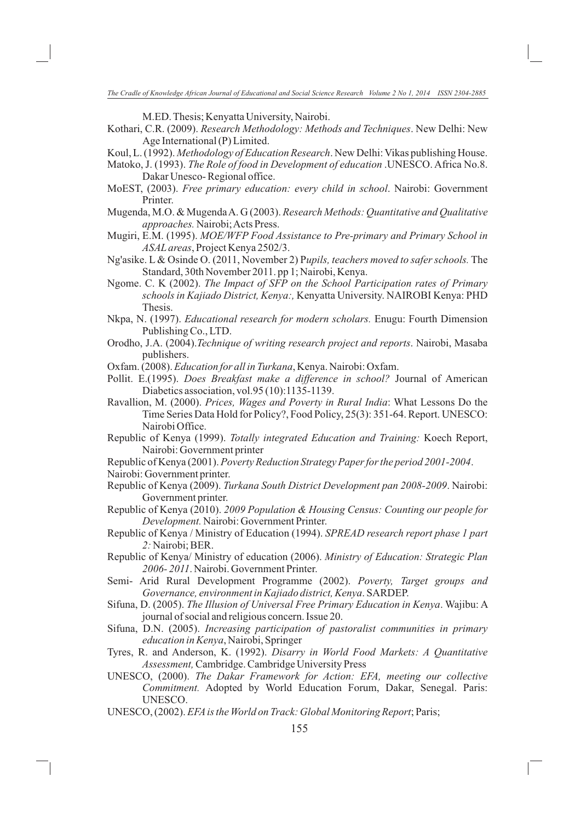M.ED. Thesis; Kenyatta University, Nairobi.

- Kothari, C.R. (2009). *Research Methodology: Methods and Techniques*. New Delhi: New Age International (P) Limited.
- Koul, L. (1992). *Methodology of Education Research*. New Delhi: Vikas publishing House.
- Matoko, J. (1993). *The Role of food in Development of education* .UNESCO. Africa No.8. Dakar Unesco- Regional office.
- MoEST, (2003). *Free primary education: every child in school*. Nairobi: Government Printer.
- Mugenda, M.O. & Mugenda A. G (2003). *Research Methods: Quantitative and Qualitative approaches.* Nairobi; Acts Press.
- Mugiri, E.M. (1995). *MOE/WFP Food Assistance to Pre-primary and Primary School in ASAL areas*, Project Kenya 2502/3.
- Ng'asike. L & Osinde O. (2011, November 2) P*upils, teachers moved to safer schools.* The Standard, 30th November 2011. pp 1; Nairobi, Kenya.
- Ngome. C. K (2002). *The Impact of SFP on the School Participation rates of Primary schools in Kajiado District, Kenya:,* Kenyatta University. NAIROBI Kenya: PHD Thesis.
- Nkpa, N. (1997). *Educational research for modern scholars.* Enugu: Fourth Dimension Publishing Co., LTD.
- Orodho, J.A. (2004).*Technique of writing research project and reports*. Nairobi, Masaba publishers.
- Oxfam. (2008). *Education for all in Turkana*, Kenya. Nairobi: Oxfam.
- Pollit. E.(1995). *Does Breakfast make a difference in school?* Journal of American Diabetics association, vol.95 (10):1135-1139.
- Ravallion, M. (2000). *Prices, Wages and Poverty in Rural India*: What Lessons Do the Time Series Data Hold for Policy?, Food Policy, 25(3): 351-64. Report. UNESCO: Nairobi Office.
- Republic of Kenya (1999). *Totally integrated Education and Training:* Koech Report, Nairobi: Government printer
- Republic of Kenya (2001). *Poverty Reduction Strategy Paper for the period 2001-2004*.
- Nairobi: Government printer.
- Republic of Kenya (2009). *Turkana South District Development pan 2008-2009*. Nairobi: Government printer.
- Republic of Kenya (2010). *2009 Population & Housing Census: Counting our people for Development.* Nairobi: Government Printer.
- Republic of Kenya / Ministry of Education (1994). *SPREAD research report phase 1 part 2:* Nairobi; BER.
- Republic of Kenya/ Ministry of education (2006). *Ministry of Education: Strategic Plan 2006- 2011*. Nairobi. Government Printer.
- Semi- Arid Rural Development Programme (2002). *Poverty, Target groups and Governance, environment in Kajiado district, Kenya*. SARDEP.
- Sifuna, D. (2005). *The Illusion of Universal Free Primary Education in Kenya*. Wajibu: A journal of social and religious concern. Issue 20.
- Sifuna, D.N. (2005). *Increasing participation of pastoralist communities in primary education in Kenya*, Nairobi, Springer
- Tyres, R. and Anderson, K. (1992). *Disarry in World Food Markets: A Quantitative Assessment,* Cambridge. Cambridge University Press
- UNESCO, (2000). *The Dakar Framework for Action: EFA, meeting our collective Commitment.* Adopted by World Education Forum, Dakar, Senegal. Paris: UNESCO.
- UNESCO, (2002). *EFA is the World on Track: Global Monitoring Report*; Paris;